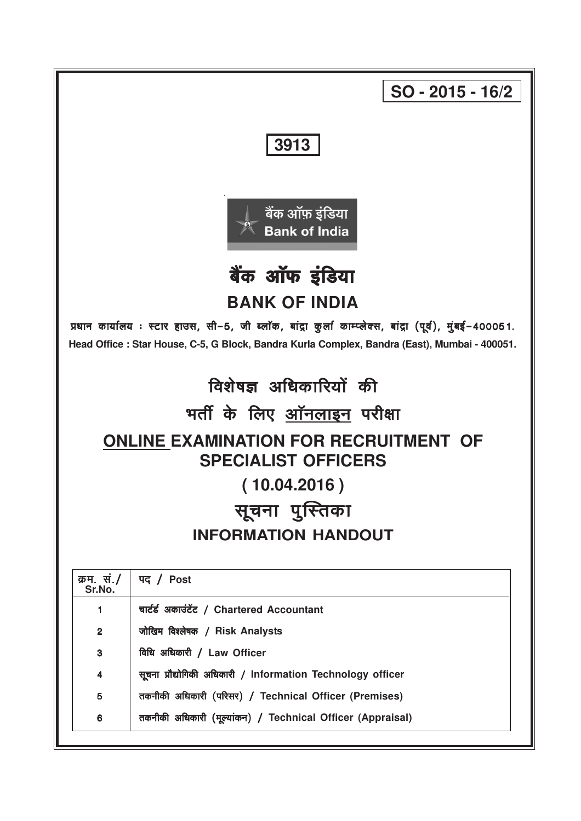|                                                                  | $SO - 2015 - 16/2$                                                                                                                                                                                       |  |  |  |  |  |  |  |
|------------------------------------------------------------------|----------------------------------------------------------------------------------------------------------------------------------------------------------------------------------------------------------|--|--|--|--|--|--|--|
|                                                                  | 3913                                                                                                                                                                                                     |  |  |  |  |  |  |  |
| <u>बैंक</u> ऑफ़ इंडिया<br><b>Bank of India</b><br>बैंक ऑफ इंडिया |                                                                                                                                                                                                          |  |  |  |  |  |  |  |
|                                                                  | <b>BANK OF INDIA</b>                                                                                                                                                                                     |  |  |  |  |  |  |  |
|                                                                  | प्रधान कार्यालय: स्टार हाउस, सी-5, जी ब्लॉक, बांद्रा कुर्ला काम्प्लेक्स, बांद्रा (पूर्व), मुंबई-400051.<br>Head Office : Star House, C-5, G Block, Bandra Kurla Complex, Bandra (East), Mumbai - 400051. |  |  |  |  |  |  |  |
|                                                                  | विशेषज्ञ अधिकारियों की                                                                                                                                                                                   |  |  |  |  |  |  |  |
|                                                                  | भर्ती के लिए <u>ऑनलाइन</u> परीक्षा                                                                                                                                                                       |  |  |  |  |  |  |  |
|                                                                  | <b>ONLINE EXAMINATION FOR RECRUITMENT OF</b><br><b>SPECIALIST OFFICERS</b>                                                                                                                               |  |  |  |  |  |  |  |
|                                                                  | (10.04.2016)                                                                                                                                                                                             |  |  |  |  |  |  |  |
|                                                                  | सूचना पुस्तिका                                                                                                                                                                                           |  |  |  |  |  |  |  |
|                                                                  | <b>INFORMATION HANDOUT</b>                                                                                                                                                                               |  |  |  |  |  |  |  |
| क्रम. सं./<br>Sr.No.                                             | पद / Post                                                                                                                                                                                                |  |  |  |  |  |  |  |
| 1                                                                | चार्टर्ड अकाउंटेंट / Chartered Accountant                                                                                                                                                                |  |  |  |  |  |  |  |
| $\mathbf{2}$                                                     | जोखिम विश्लेषक / Risk Analysts                                                                                                                                                                           |  |  |  |  |  |  |  |
| 3                                                                | विधि अधिकारी / Law Officer                                                                                                                                                                               |  |  |  |  |  |  |  |
| 4                                                                | सूचना प्रौद्योगिकी अधिकारी / Information Technology officer                                                                                                                                              |  |  |  |  |  |  |  |
| 5                                                                | तकनीकी अधिकारी (परिसर) / Technical Officer (Premises)                                                                                                                                                    |  |  |  |  |  |  |  |
| 6                                                                | तकनीकी अधिकारी (मूल्यांकन) / Technical Officer (Appraisal)                                                                                                                                               |  |  |  |  |  |  |  |
|                                                                  |                                                                                                                                                                                                          |  |  |  |  |  |  |  |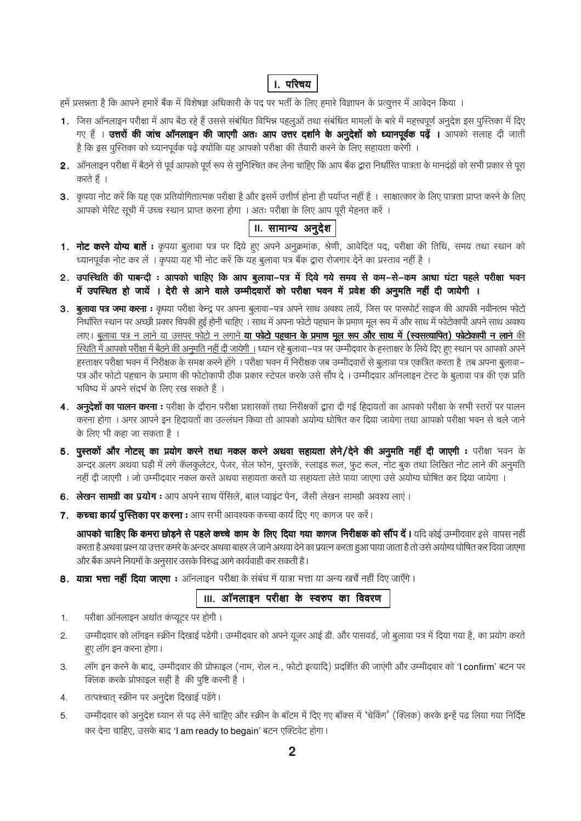# **।**. परिचय

हमें प्रसन्नता है कि आपने हमारें बैंक में विशेषज्ञ अधिकारी के पद पर भर्ती के लिए हमारे विज्ञापन के प्रत्युत्तर में आवेदन किया ।

- 1. जिस ऑनलाइन परीक्षा में आप बैठ रहे हैं उससे संबंधित विभिन्न पहलुओं तथा संबंधित मामलों के बारे में महत्त्वपूर्ण अनुदेश इस पुस्तिका में दिए गए हैं । उत्तरों की जांच ऑनलाइन की जाएगी अतः आप उत्तर दर्शाने के अनुदेशों को ध्यानपूर्वक पढ़ें । आपको सलाह दी जाती है कि इस पुस्तिका को ध्यानपूर्वक पढ़े क्योंकि यह आपको परीक्षा की तैयारी करने के लिए सहायता करेगी ।
- 2. ऑनलाइन परीक्षा में बैठने से पूर्व आपको पूर्ण रूप से सुनिश्चित कर लेना चाहिए कि आप बैंक द्वारा निर्धारित पात्रता के मानदड़ों को सभी प्रकार से पूरा करते हैं ।
- 3. कृपया नोट करें कि यह एक प्रतियोगितात्मक परीक्षा है और इसमें उत्तीर्ण होना ही पर्याप्त नहीं है । साक्षात्कार के लिए पात्रता प्राप्त करने के लिए आपको मेरिट सूची में उच्च स्थान प्राप्त करना होगा । अतः परीक्षा के लिए आप पूरी मेहनत करें ।

# II. सामान्य अनु*देश*

- 1. नोट करने योग्य बातें : कृपया बुलावा पत्र पर दिये हुए अपने अनुक्रमांक, श्रेणी, आवेदित पद, परीक्षा की तिथि, समय तथा स्थान को ध्यानपूर्वक नोट कर लें । कृपया यह भी नोट करें कि यह बुलावा पत्र बैंक द्वारा रोजगार देने का प्रस्ताव नहीं है ।
- 2. उपस्थिति की पाबन्दी : आपको चाहिए कि आप बुलावा-पत्र में दिये गये समय से कम-से-कम आधा घंटा पहले परीक्षा भवन में उपस्थित हो जायें । देरी से आने वाले उम्मीदवारों को परीक्षा भवन में प्रवेश की अनुमति नहीं दी जायेगी ।
- 3. बुलावा पत्र जमा करना : कृपया परीक्षा केन्द्र पर अपना बुलावा–पत्र अपने साथ अवश्य लायें, जिस पर पासपोर्ट साइज की आपकी नवीनतम फोटो निर्धारित स्थान पर अच्छी प्रकार चिपकी हुई होनी चाहिए । साथ में अपना फोटो पहचान के प्रमाण मूल रूप में और साथ में फोटोकापी अपने साथ अवश्य लाए। <u>बुलावा पत्र न लाने या उसपर फोटो न लगाने **या फोटो पहचान के प्रमाण मूल रूप और साथ में (स्वसत्यापित) फोटोकापी न लाने** की</u> स्थिति में आपको परीक्षा में बैठने की अनुमति नहीं दी जायेगी । ध्यान रहे बूलावा-पत्र पर उम्मीदवार के हस्ताक्षर के लिये दिए हुए स्थान पर आपको अपने हस्ताक्षर परीक्षा भवन में निरीक्षक के समक्ष करने होंगे । परीक्षा भवन में निरीक्षक जब उम्मीदवारों से बुलावा पत्र एकत्रित करता है तब अपना बुलावा– पत्र और फोटो पहचान के प्रमाण की फोटोकापी ठीक प्रकार स्टेपल करके उसे सौंप दे। उम्मीदवार ऑनलाइन टेस्ट के बुलावा पत्र की एक प्रति भविष्य में अपने सदर्भ के लिए रख सकते हैं ।
- 4. अन्**देशों का पालन करना :** परीक्षा के दौरान परीक्षा प्रशासकों तथा निरीक्षकों द्वारा दी गई हिदायतों का आपको परीक्षा के सभी स्तरों पर पालन करना होगा । अगर आपने इन हिदायतों का उल्लंघन किया तो आपको अयोग्य घोषित कर दिया जायेगा तथा आपको परीक्षा भवन से चले जाने के लिए भी कहा जा सकता है ।
- 5. पुस्तकों और नोटस् का प्रयोग करने तथा नकल करने अथवा सहायता लेने/देने की अनुमति नहीं दी जाएगी : परीक्षा भवन के अन्दर अलग अथवा घड़ी में लगे कॅलकूलेटर, पेजर, सेल फोन, पुस्तकें, स्लाइड रूल, फूट रूल, नोट बुक तथा लिखित नोट लाने की अनुमति नहीं दी जाएगी । जो उम्मीदवार नकल करते अथवा सहायता करते या सहायता लेते पाया जाएगा उसे अयोग्य घोषित कर दिया जायेगा ।
- 6. लेखन सामग्री का प्रयोग : आप अपने साथ पेंसिले, बाल प्वाइंट पेन, जैसी लेखन सामग्री अवश्य लाएं ।
- 7. कच्चा कार्य पुस्तिका पर करना : आप सभी आवश्यक कच्चा कार्य दिए गए कागज पर करें।

आपको चाहिए कि कमरा छोड़ने से पहले कच्चे काम के लिए दिया गया कागज निरीक्षक को सौंप दें। यदि कोई उम्मीदवार इसे वापस नहीं करता है अथवा प्रश्न या उत्तर कमरे के अन्दर अथवा बाहर ले जाने अथवा देने का प्रयत्न करता हुआ पाया जाता है तो उसे अयोग्य घोषित कर दिया जाएगा और बैंक अपने नियमों के अनुसार उसके विरुद्ध आगे कार्यवाही कर सकती है।

8. यात्रा भत्ता नहीं दिया जाएगा : ऑनलाइन परीक्षा के संबंध में यात्रा भत्ता या अन्य खर्चे नहीं दिए जाएँगे।

III. ऑनलाइन परीक्षा के स्वरुप का विवरण

- परीक्षा ऑनलाइन अर्थात कप्यूटर पर होगी।  $1.$
- उम्मीदवार को लॉगइन स्क्रीन दिखाई पडेगी। उम्मीदवार को अपने यूजर आई डी. और पासवर्ड, जो बुलावा पत्र में दिया गया है, का प्रयोग करते  $\overline{2}$ . हए लॉग इन करना होगा।
- लॉग इन करने के बाद, उम्मीदवार की प्रोफाइल (नाम, रोल न., फोटो इत्यादि) प्रदर्शित की जाएंगी और उम्मीदवार को 'I confirm' बटन पर  $3.$ क्लिक करके प्रोफाइल सही है की पुष्टि करनी है।
- तत्पश्चात् स्क्रीन पर अनूदेश दिखाई पडेंगे।  $4.$
- उम्मीदवार को अनुदेश ध्यान से पढ़ लेने चाहिए और स्क्रीन के बॉटम में दिए गए बॉक्स में 'चेकिंग' (क्लिक) करके इन्हें पढ लिया गया निर्दिष्ट 5. कर देना चाहिए, उसके बाद 'I am ready to begain' बटन एक्टिवेट होगा।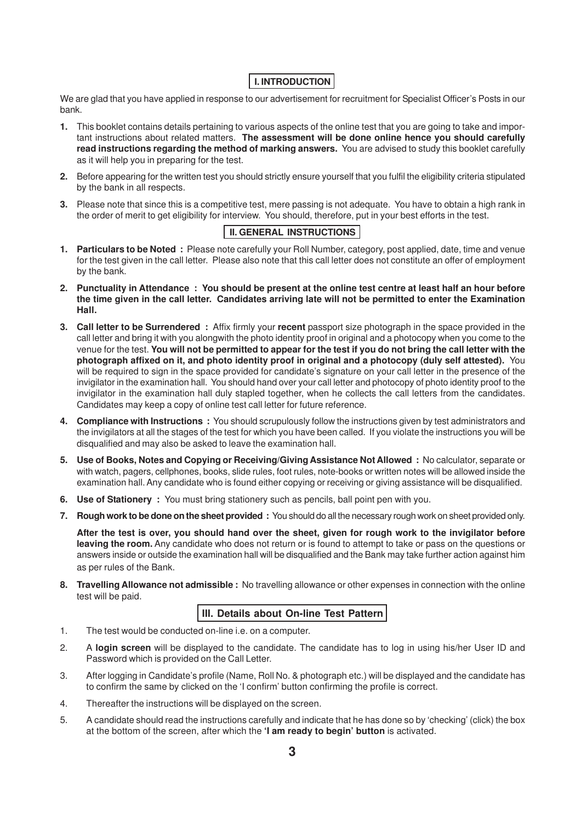# **I. INTRODUCTION**

We are glad that you have applied in response to our advertisement for recruitment for Specialist Officer's Posts in our bank.

- **1.** This booklet contains details pertaining to various aspects of the online test that you are going to take and important instructions about related matters. **The assessment will be done online hence you should carefully read instructions regarding the method of marking answers.** You are advised to study this booklet carefully as it will help you in preparing for the test.
- **2.** Before appearing for the written test you should strictly ensure yourself that you fulfil the eligibility criteria stipulated by the bank in all respects.
- **3.** Please note that since this is a competitive test, mere passing is not adequate. You have to obtain a high rank in the order of merit to get eligibility for interview. You should, therefore, put in your best efforts in the test.

# **II. GENERAL INSTRUCTIONS**

- **1. Particulars to be Noted :** Please note carefully your Roll Number, category, post applied, date, time and venue for the test given in the call letter. Please also note that this call letter does not constitute an offer of employment by the bank.
- **2. Punctuality in Attendance : You should be present at the online test centre at least half an hour before the time given in the call letter. Candidates arriving late will not be permitted to enter the Examination Hall.**
- **3. Call letter to be Surrendered :** Affix firmly your **recent** passport size photograph in the space provided in the call letter and bring it with you alongwith the photo identity proof in original and a photocopy when you come to the venue for the test. **You will not be permitted to appear for the test if you do not bring the call letter with the photograph affixed on it, and photo identity proof in original and a photocopy (duly self attested).** You will be required to sign in the space provided for candidate's signature on your call letter in the presence of the invigilator in the examination hall. You should hand over your call letter and photocopy of photo identity proof to the invigilator in the examination hall duly stapled together, when he collects the call letters from the candidates. Candidates may keep a copy of online test call letter for future reference.
- **4. Compliance with Instructions :** You should scrupulously follow the instructions given by test administrators and the invigilators at all the stages of the test for which you have been called. If you violate the instructions you will be disqualified and may also be asked to leave the examination hall.
- **5. Use of Books, Notes and Copying or Receiving/Giving Assistance Not Allowed :** No calculator, separate or with watch, pagers, cellphones, books, slide rules, foot rules, note-books or written notes will be allowed inside the examination hall. Any candidate who is found either copying or receiving or giving assistance will be disqualified.
- **6. Use of Stationery :** You must bring stationery such as pencils, ball point pen with you.
- **7. Rough work to be done on the sheet provided :** You should do all the necessary rough work on sheet provided only.

**After the test is over, you should hand over the sheet, given for rough work to the invigilator before leaving the room.** Any candidate who does not return or is found to attempt to take or pass on the questions or answers inside or outside the examination hall will be disqualified and the Bank may take further action against him as per rules of the Bank.

**8. Travelling Allowance not admissible :** No travelling allowance or other expenses in connection with the online test will be paid.

# **III. Details about On-line Test Pattern**

- 1. The test would be conducted on-line i.e. on a computer.
- 2. A **login screen** will be displayed to the candidate. The candidate has to log in using his/her User ID and Password which is provided on the Call Letter.
- 3. After logging in Candidate's profile (Name, Roll No. & photograph etc.) will be displayed and the candidate has to confirm the same by clicked on the 'I confirm' button confirming the profile is correct.
- 4. Thereafter the instructions will be displayed on the screen.
- 5. A candidate should read the instructions carefully and indicate that he has done so by 'checking' (click) the box at the bottom of the screen, after which the **'I am ready to begin' button** is activated.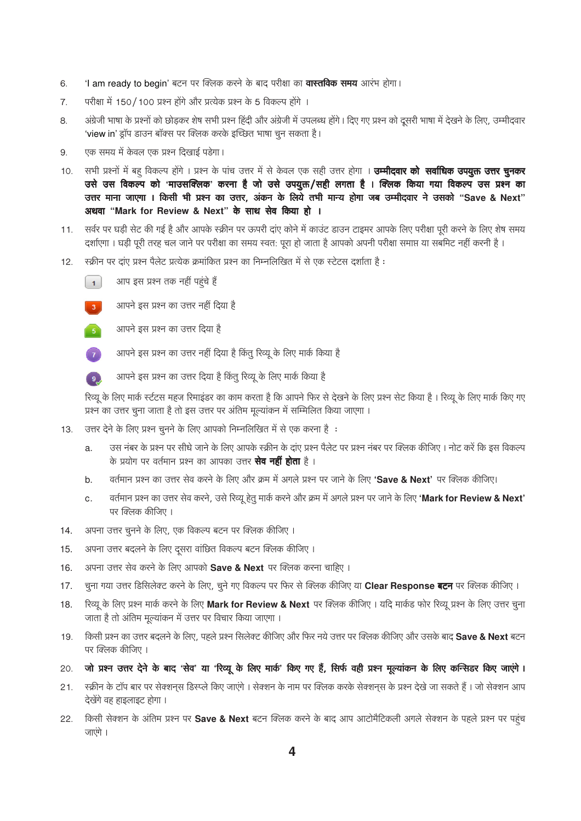- 'I am ready to begin' बटन पर क्लिक करने के बाद परीक्षा का **वास्तविक समय** आरंभ होगा। 6.
- परीक्षा में 150/100 प्रश्न होंगे और प्रत्येक प्रश्न के 5 विकल्प होंगे ।  $\overline{7}$ .
- अंग्रेजी भाषा के प्रश्नों को छोड़कर शेष सभी प्रश्न हिंदी और अंग्रेजी में उपलब्ध होंगे। दिए गए प्रश्न को दूसरी भाषा में देखने के लिए, उम्मीदवार 8. 'view in' ड्रॉप डाउन बॉक्स पर क्लिक करके इच्छित भाषा चून सकता है।
- एक समय में केवल एक प्रश्न दिखाई पड़ेगा। 9.
- सभी प्रश्नों में बह विकल्प होंगे । प्रश्न के पांच उत्तर में से केवल एक सही उत्तर होगा । **उम्मीदवार को सर्वाधिक उपयुक्त उत्तर चुनकर**  $10.$ उसे उस विकल्प को 'माउसक्लिक' करना है जो उसे उपयुक्त/सही लगता है । क्लिक किया गया विकल्प उस प्रश्न का उत्तर माना जाएगा । किसी भी प्रश्न का उत्तर, अंकन के लिये तभी मान्य होगा जब उम्मीदवार ने उसको "Save & Next" अथवा "Mark for Review & Next" के साथ सेव किया हो ।
- सर्वर पर घडी सेट की गई है और आपके स्क्रीन पर ऊपरी दाए कोने में काउंट डाउन टाइमर आपके लिए परीक्षा पूरी करने के लिए शेष समय  $11.$ दर्शाएगा। घड़ी पूरी तरह चल जाने पर परीक्षा का समय स्वत: पूरा हो जाता है आपको अपनी परीक्षा समाप्त या सबमिट नहीं करनी है।
- स्क्रीन पर दाए प्रश्न पैलेट प्रत्येक क्रमांकित प्रश्न का निम्नलिखित में से एक स्टेटस दर्शाता है:  $12.$





- $\overline{5}$ आपने इस प्रश्न का उत्तर दिया है
- आपने इस प्रश्न का उत्तर नहीं दिया है किंतू रिव्यू के लिए मार्क किया है
- आपने इस प्रश्न का उत्तर दिया है किंतु रिव्यू के लिए मार्क किया है  $\left( 9\right)$

रिव्यू के लिए मार्क स्टंटस महज रिमाइंडर का काम करता है कि आपने फिर से देखने के लिए प्रश्न सेट किया है। रिव्यू के लिए मार्क किए गए प्रश्न का उत्तर चुना जाता है तो इस उत्तर पर अंतिम मूल्यांकन में सम्मिलित किया जाएगा ।

- उत्तर देने के लिए प्रश्न चूनने के लिए आपको निम्नलिखित में से एक करना है:  $13.$ 
	- उस नंबर के प्रश्न पर सीधे जाने के लिए आपके स्क्रीन के दाए प्रश्न पैलेट पर प्रश्न नंबर पर क्लिक कीजिए । नोट करें कि इस विकल्प a. के प्रयोग पर वर्तमान प्रश्न का आपका उत्तर **सेव नहीं होता** है ।
	- वर्तमान प्रश्न का उत्तर सेव करने के लिए और क्रम में अगले प्रश्न पर जाने के लिए 'Save & Next' पर क्लिक कीजिए।  $b.$
	- वर्तमान प्रश्न का उत्तर सेव करने, उसे रिव्यू हेत मार्क करने और क्रम में अगले प्रश्न पर जाने के लिए 'Mark for Review & Next'  $\overline{c}$ . पर क्लिक कीजिए ।
- अपना उत्तर चुनने के लिए, एक विकल्प बटन पर क्लिक कीजिए ।  $14.$
- अपना उत्तर बदलने के लिए दूसरा वांछित विकल्प बटन क्लिक कीजिए। 15.
- अपना उत्तर सेव करने के लिए आपको Save & Next पर क्लिक करना चाहिए । 16.
- चूना गया उत्तर डिसिलेक्ट करने के लिए, चूने गए विकल्प पर फिर से क्लिक कीजिए या Clear Response बटन पर क्लिक कीजिए।  $17.$
- रिव्यू के लिए प्रश्न मार्क करने के लिए Mark for Review & Next पर क्लिक कीजिए। यदि मार्कड फोर रिव्यू प्रश्न के लिए उत्तर चुना 18. जाता है तो अंतिम मूल्यांकन में उत्तर पर विचार किया जाएगा।
- किसी प्रश्न का उत्तर बदलने के लिए, पहले प्रश्न सिलेक्ट कीजिए और फिर नये उत्तर पर क्लिक कीजिए और उसके बाद Save & Next बटन  $19.$ पर क्लिक कीजिए ।
- 20. जो प्रश्न उत्तर देने के बाद 'सेव' या 'रिव्यू के लिए मार्क' किए गए हैं, सिर्फ वही प्रश्न मूल्यांकन के लिए कन्सिडर किए जाएंगे।
- स्क्रीन के टॉप बार पर सेक्शनस डिस्प्ले किए जाएंगे । सेक्शन के नाम पर क्लिक करके सेक्शनस के प्रश्न देखे जा सकते हैं । जो सेक्शन आप  $21.$ देखेंगे वह हाइलाइट होगा ।
- किसी सेक्शन के अंतिम प्रश्न पर Save & Next बटन क्लिक करने के बाद आप आटोमैटिकली अगले सेक्शन के पहले प्रश्न पर पहच 22. जाएंगे ।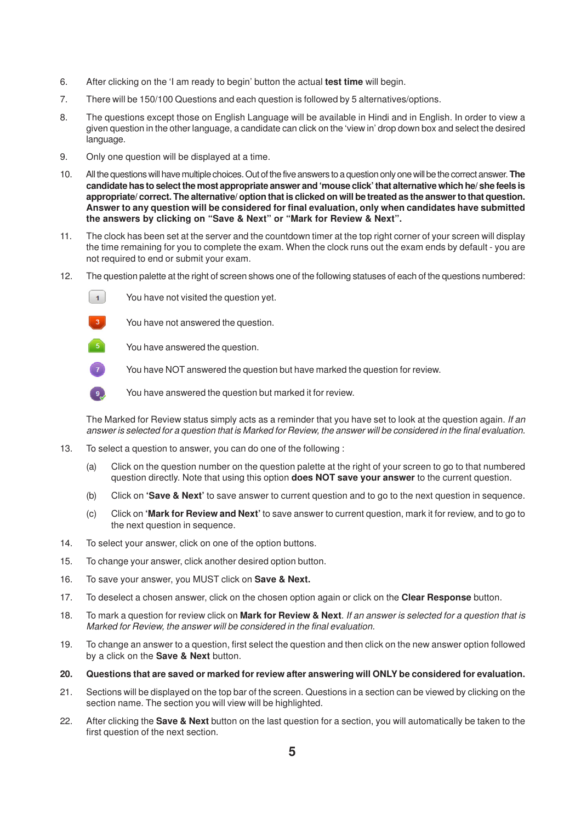- 6. After clicking on the 'I am ready to begin' button the actual **test time** will begin.
- 7. There will be 150/100 Questions and each question is followed by 5 alternatives/options.
- 8. The questions except those on English Language will be available in Hindi and in English. In order to view a given question in the other language, a candidate can click on the 'view in' drop down box and select the desired language.
- 9. Only one question will be displayed at a time.
- 10. All the questions will have multiple choices. Out of the five answers to a question only one will be the correct answer. **The candidate has to select the most appropriate answer and 'mouse click' that alternative which he/ she feels is appropriate/ correct. The alternative/ option that is clicked on will be treated as the answer to that question. Answer to any question will be considered for final evaluation, only when candidates have submitted the answers by clicking on "Save & Next" or "Mark for Review & Next".**
- 11. The clock has been set at the server and the countdown timer at the top right corner of your screen will display the time remaining for you to complete the exam. When the clock runs out the exam ends by default - you are not required to end or submit your exam.
- 12. The question palette at the right of screen shows one of the following statuses of each of the questions numbered:





You have not answered the question.

- $5<sup>1</sup>$ You have answered the question.
	- You have NOT answered the question but have marked the question for review.



You have answered the question but marked it for review.

The Marked for Review status simply acts as a reminder that you have set to look at the question again. If an answer is selected for a question that is Marked for Review, the answer will be considered in the final evaluation.

- 13. To select a question to answer, you can do one of the following :
	- (a) Click on the question number on the question palette at the right of your screen to go to that numbered question directly. Note that using this option **does NOT save your answer** to the current question.
	- (b) Click on **'Save & Next'** to save answer to current question and to go to the next question in sequence.
	- (c) Click on **'Mark for Review and Next'** to save answer to current question, mark it for review, and to go to the next question in sequence.
- 14. To select your answer, click on one of the option buttons.
- 15. To change your answer, click another desired option button.
- 16. To save your answer, you MUST click on **Save & Next.**
- 17. To deselect a chosen answer, click on the chosen option again or click on the **Clear Response** button.
- 18. To mark a question for review click on **Mark for Review & Next**. If an answer is selected for a question that is Marked for Review, the answer will be considered in the final evaluation.
- 19. To change an answer to a question, first select the question and then click on the new answer option followed by a click on the **Save & Next** button.
- **20. Questions that are saved or marked for review after answering will ONLY be considered for evaluation.**
- 21. Sections will be displayed on the top bar of the screen. Questions in a section can be viewed by clicking on the section name. The section you will view will be highlighted.
- 22. After clicking the **Save & Next** button on the last question for a section, you will automatically be taken to the first question of the next section.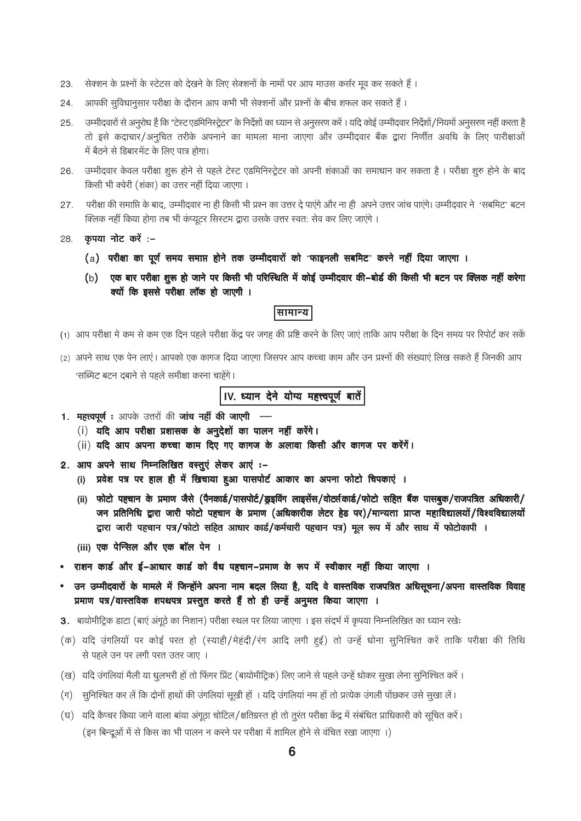- सेक्शन के प्रश्नों के स्टेटस को देखने के लिए सेक्शनों के नामों पर आप माउस कर्सर मूव कर सकते हैं। 23.
- आपकी सुविधानुसार परीक्षा के दौरान आप कभी भी सेक्शनों और प्रश्नों के बीच शफल कर सकते हैं। 24.
- उम्मीदवारों से अनूरोध है कि "टेस्ट एडमिनिस्ट्रेटर" के निर्देशों का ध्यान से अनुसरण करें। यदि कोई उम्मीदवार निर्देशों/नियमों अनुसरण नहीं करता है 25. तो इसे कदाचार/अनूचित तरीके अपनाने का मामला माना जाएगा और उम्मीदवार बैंक द्वारा निर्णीत अवधि के लिए पारीक्षाओं में बैठने से डिबारमेंट के लिए पात्र होगा।
- उम्मीदवार केवल परीक्षा शुरू होने से पहले टेस्ट एडमिनिस्ट्रेटर को अपनी शंकाओं का समाधान कर सकता है। परीक्षा शुरु होने के बाद 26. किसी भी क्वेरी (शंका) का उत्तर नहीं दिया जाएगा।
- परीक्षा की समाप्ति के बाद, उम्मीदवार ना ही किसी भी प्रश्न का उत्तर दे पाएंगे और ना ही अपने उत्तर जांच पाएंगे। उम्मीदवार ने 'सबमिट' बटन 27. क्लिक नहीं किया होगा तब भी कंप्यूटर सिस्टम द्वारा उसके उत्तर स्वत: सेव कर लिए जाएंगे।
- 28. कृपया नोट करें :-
	- (a) परीक्षा का पूर्ण समय समाप्त होने तक उम्मीदवारों को "फाइनली सबमिट" करने नहीं दिया जाएगा ।
	- (b) एक बार परीक्षा शुरू हो जाने पर किसी भी परिस्थिति में कोई उम्मीदवार की-बोर्ड की किसी भी बटन पर क्लिक नहीं करेगा क्यों कि इससे परीक्षा लॉक हो जाएगी ।

## |सामान्य|

- (1) आप परीक्षा मे कम से कम एक दिन पहले परीक्षा केंद्र पर जगह की प्रष्टि करने के लिए जाएं ताकि आप परीक्षा के दिन समय पर रिपोर्ट कर सकें
- (2) अपने साथ एक पेन लाएं। आपको एक कागज दिया जाएगा जिसपर आप कच्चा काम और उन प्रश्नों की संख्याएं लिख सकते हैं जिनकी आप 'सब्मिट' बटन दबाने से पहले समीक्षा करना चाहेंगे।

IV. ध्यान देने योग्य महत्त्वपूर्ण बातें

- 1. महत्त्वपूर्ण: आपके उत्तरों की जांच नहीं की जाएगी
	- (i) यदि आप परीक्षा प्रशासक के अनुदेशों का पालन नहीं करेंगे।
	- (ii) यदि आप अपना कच्चा काम दिए गए कागज के अलावा किसी और कागज पर करेंगें।
- 2. आप अपने साथ निम्नलिखित वस्तुएं लेकर आएं :-
	- (i) प्रवेश पत्र पर हाल ही में खिचाया हुआ पासपोर्ट आकार का अपना फोटो चिपकाएं ।
	- (ii) फोटो पहचान के प्रमाण जैसे (पैनकार्ड/पासपोर्ट/ड्राइविंग लाइसेंस/वोर्ट्सकार्ड/फोटो सहित बैंक पासबूक/राजपत्रित अधिकारी/ जन प्रतिनिधि द्वारा जारी फोटो पहचान के प्रमाण (अधिकारीक लेटर हेड पर)/मान्यता प्राप्त महाविद्यालयों/विश्वविद्यालयों द्वारा जारी पहचान पत्र/फोटो सहित आधार कार्ड/कर्मचारी पहचान पत्र) मूल रूप में और साथ में फोटोकापी ।
	- (iii) एक पेन्सिल और एक बॉल पेन ।
- राशन कार्ड और ई–आधार कार्ड को वैध पहचान–प्रमाण के रूप में स्वीकार नहीं किया जाएगा ।
- उन उम्मीदवारों के मामले में जिन्होंने अपना नाम बदल लिया है, यदि वे वास्तविक राजपत्रित अधिसूचना/अपना वास्तविक विवाह  $\bullet$ प्रमाण पत्र/वास्तविक शपथपत्र प्रस्तुत करते हैं तो ही उन्हें अनुमत किया जाएगा ।
- 3. बायोमीट्रिक डाटा (बाएं अंगूठे का निशान) परीक्षा स्थल पर लिया जाएगा । इस संदर्भ में कृपया निम्नलिखित का ध्यान रखेः
- (क) यदि उंगलियों पर कोई परत हो (स्याही/मेहंदी/रंग आदि लगी हुई) तो उन्हें धोना सुनिश्चित करें ताकि परीक्षा की तिथि से पहले उन पर लगी परत उतर जाए ।
- (ख) यदि उंगलियां मैली या धूलभरी हों तो फिंगर प्रिंट (बायोमीट्रिक) लिए जाने से पहले उन्हें धोकर सूखा लेना सूनिश्चित करें।
- (ग) सूनिश्चित कर ले कि दोनों हाथों की उंगलियां सूखी हों । यदि उंगलियां नम हो तो प्रत्येक उंगली पोछकर उसे सूखा लें।
- (घ) यदि कैप्चर किया जाने वाला बाया अंगूठा चोटिल/क्षतिग्रस्त हो तो तुरंत परीक्षा केंद्र में संबंधित प्राधिकारी को सूचित करें। (इन बिन्दुओं में से किस का भी पालन न करने पर परीक्षा में शामिल होने से वंचित रखा जाएगा)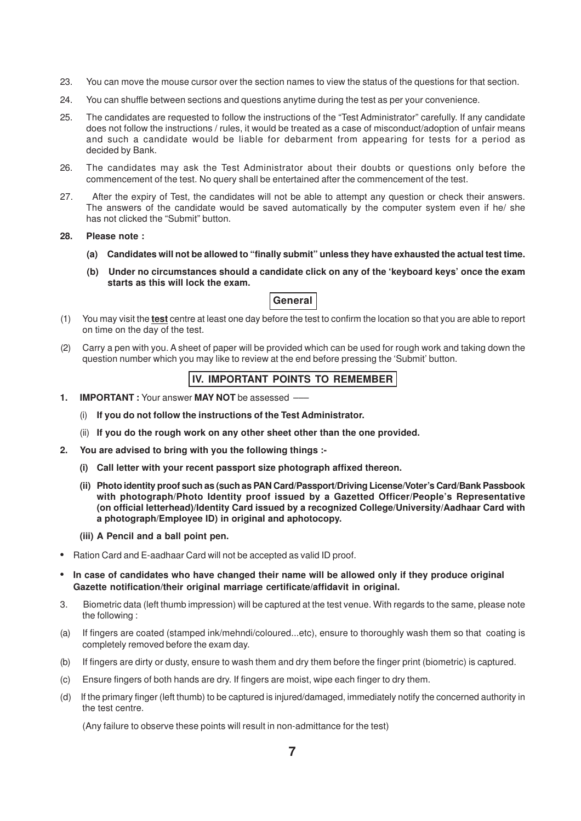- 23. You can move the mouse cursor over the section names to view the status of the questions for that section.
- 24. You can shuffle between sections and questions anytime during the test as per your convenience.
- 25. The candidates are requested to follow the instructions of the "Test Administrator" carefully. If any candidate does not follow the instructions / rules, it would be treated as a case of misconduct/adoption of unfair means and such a candidate would be liable for debarment from appearing for tests for a period as decided by Bank.
- 26. The candidates may ask the Test Administrator about their doubts or questions only before the commencement of the test. No query shall be entertained after the commencement of the test.
- 27. After the expiry of Test, the candidates will not be able to attempt any question or check their answers. The answers of the candidate would be saved automatically by the computer system even if he/ she has not clicked the "Submit" button.

#### **28. Please note :**

- **(a) Candidates will not be allowed to "finally submit" unless they have exhausted the actual test time.**
- **(b) Under no circumstances should a candidate click on any of the 'keyboard keys' once the exam starts as this will lock the exam.**

## **General**

- (1) You may visit the **test** centre at least one day before the test to confirm the location so that you are able to report on time on the day of the test.
- (2) Carry a pen with you. A sheet of paper will be provided which can be used for rough work and taking down the question number which you may like to review at the end before pressing the 'Submit' button.

# **IV. IMPORTANT POINTS TO REMEMBER**

- **1. IMPORTANT :** Your answer **MAY NOT** be assessed –––
	- (i) **If you do not follow the instructions of the Test Administrator.**
	- (ii) **If you do the rough work on any other sheet other than the one provided.**
- **2. You are advised to bring with you the following things :-**
	- **(i) Call letter with your recent passport size photograph affixed thereon.**
	- **(ii) Photo identity proof such as (such as PAN Card/Passport/Driving License/Voter's Card/Bank Passbook with photograph/Photo Identity proof issued by a Gazetted Officer/People's Representative (on official letterhead)/Identity Card issued by a recognized College/University/Aadhaar Card with a photograph/Employee ID) in original and aphotocopy.**
	- **(iii) A Pencil and a ball point pen.**
- **•** Ration Card and E-aadhaar Card will not be accepted as valid ID proof.
- **• In case of candidates who have changed their name will be allowed only if they produce original Gazette notification/their original marriage certificate/affidavit in original.**
- 3. Biometric data (left thumb impression) will be captured at the test venue. With regards to the same, please note the following :
- (a) If fingers are coated (stamped ink/mehndi/coloured...etc), ensure to thoroughly wash them so that coating is completely removed before the exam day.
- (b) If fingers are dirty or dusty, ensure to wash them and dry them before the finger print (biometric) is captured.
- (c) Ensure fingers of both hands are dry. If fingers are moist, wipe each finger to dry them.
- (d) If the primary finger (left thumb) to be captured is injured/damaged, immediately notify the concerned authority in the test centre.

(Any failure to observe these points will result in non-admittance for the test)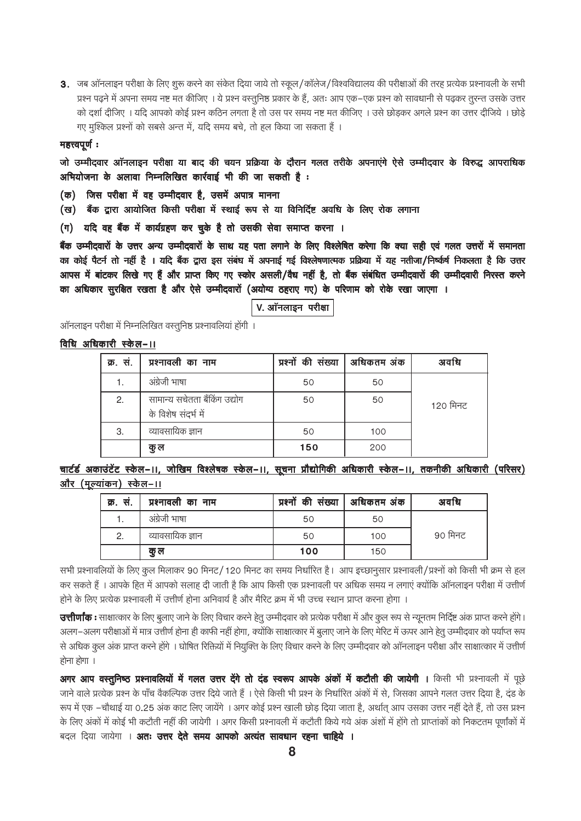3. जब ऑनलाइन परीक्षा के लिए शुरू करने का संकेत दिया जाये तो स्कूल/कॉलेज/विश्वविद्यालय की परीक्षाओं की तरह प्रत्येक प्रश्नावली के सभी प्रश्न पढ़ने में अपना समय नष्ट मत कीजिए । ये प्रश्न वस्तुनिष्ठ प्रकार के हैं, अतः आप एक–एक प्रश्न को सावधानी से पढ़कर तूरन्त उसके उत्तर को दर्शा दीजिए । यदि आपको कोई प्रश्न कठिन लगता है तो उस पर समय नष्ट मत कीजिए । उसे छोडकर अगले प्रश्न का उत्तर दीजिये । छोडे गए मुश्किल प्रश्नों को सबसे अन्त में, यदि समय बचे, तो हल किया जा सकता हैं।

#### महत्त्वपूर्णः

जो उम्मीदवार ऑनलाइन परीक्षा या बाद की चयन प्रक्रिया के दौरान गलत तरीके अपनाएंगे ऐसे उम्मीदवार के विरुद्ध आपराधिक अभियोजना के अलावा निम्नलिखित कार्रवाई भी की जा सकती है:

- (क) जिस परीक्षा में वह उम्मीदवार है, उसमें अपात्र मानना
- (ख) बैंक द्वारा आयोजित किसी परीक्षा में स्थाई रूप से या विनिर्दिष्ट अवधि के लिए रोक लगाना
- (ग) यदि वह बैंक में कार्यग्रहण कर चुके है तो उसकी सेवा समाप्त करना ।

बैंक उम्मीदवारों के उत्तर अन्य उम्मीदवारों के साथ यह पता लगाने के लिए विश्लेषित करेगा कि क्या सही एवं गलत उत्तरों में समानता का कोई पैटर्न तो नहीं है । यदि बैंक द्वारा इस संबंध में अपनाई गई विश्लेषणात्मक प्रक्रिया में यह नतीजा/निष्कर्ष निकलता है कि उत्तर आपस में बांटकर लिखे गए हैं और प्राप्त किए गए स्कोर असली/वैध नहीं है, तो बैंक संबंधित उम्मीदवारों की उम्मीदवारी निरस्त करने का अधिकार सुरक्षित रखता है और ऐसे उम्मीदवारों (अयोग्य ठहराए गए) के परिणाम को रोके रखा जाएगा ।

## V. ऑनलाइन परीक्षा

ऑनलाइन परीक्षा में निम्नलिखित वस्तुनिष्ठ प्रश्नावलियां होंगी ।

## विधि अधिकारी स्केल-।।

| क्र. सं. | प्रश्नावली का नाम                                   | प्रश्नों की संख्या   अधिकतम अंक |     | अवधि     |
|----------|-----------------------------------------------------|---------------------------------|-----|----------|
|          | अंग्रेजी भाषा                                       | 50                              | 50  |          |
| 2.       | सामान्य सचेतता बैंकिंग उद्योग<br>के विशेष संदर्भ मे | 50                              | 50  | 120 मिनट |
| 3.       | व्यावसायिक ज्ञान                                    | 50                              | 100 |          |
|          | कु ल                                                | 150                             | 200 |          |

चार्टर्ड अकाउंटेंट स्केल-।।, जोखिम विश्लेषक स्केल-।।, सूचना प्रौद्योगिकी अधिकारी स्केल-।।, तकनीकी अधिकारी (परिसर) <u>और (मूल्यांकन) स्केल-॥</u>

| क्र. स. | प्रश्नावली का नाम | प्रश्नों की संख्या   अधिकतम अंक |     | अवधि    |
|---------|-------------------|---------------------------------|-----|---------|
|         | अंग्रेजी भाषा     | 50                              | 50  |         |
| 2.      | व्यावसायिक ज्ञान  | 50                              | 100 | 90 मिनट |
|         | क ल               | 100                             | 150 |         |

सभी प्रश्नावलियों के लिए कूल मिलाकर 90 मिनट/120 मिनट का समय निर्धारित है। आप इच्छानूसार प्रश्नावली/प्रश्नों को किसी भी क्रम से हल कर सकते हैं । आपके हित में आपको सलाह दी जाती है कि आप किसी एक प्रश्नावली पर अधिक समय न लगाएं क्योंकि ऑनलाइन परीक्षा में उत्तीर्ण होने के लिए प्रत्येक प्रश्नावली में उत्तीर्ण होना अनिवार्य है और मैरिट क्रम में भी उच्च स्थान प्राप्त करना होगा

**उत्तीर्णांक:** साक्षात्कार के लिए बुलाए जाने के लिए विचार करने हेतु उम्मीदवार को प्रत्येक परीक्षा में और कुल रूप से न्यूनतम निर्दिष्ट अंक प्राप्त करने होंगे। अलग–अलग परीक्षाओं में मात्र उत्तीर्ण होना ही काफी नहीं होगा, क्योंकि साक्षात्कार में बुलाए जाने के लिए मेरिट में ऊपर आने हेतु उम्मीदवार को पर्याप्त रूप से अधिक कूल अंक प्राप्त करने होंगे । घोषित रिक्तियों में नियुक्ति के लिए विचार करने के लिए उम्मीदवार को ऑनलाइन परीक्षा और साक्षात्कार में उत्तीर्ण होना होगा ।

अगर आप वस्तुनिष्ठ प्रश्नावलियों में गलत उत्तर देंगे तो दंड स्वरूप आपके अंकों में कटौती की जायेगी । किसी भी प्रश्नावली में पूछे जाने वाले प्रत्येक प्रश्न के पाँच वैकल्पिक उत्तर दिये जाते हैं । ऐसे किसी भी प्रश्न के निर्धारित अंकों में से, जिसका आपने गलत उत्तर दिया है, दंड के रूप में एक –चौथाई या 0.25 अंक काट लिए जायेंगे । अगर कोई प्रश्न खाली छोड़ दिया जाता है, अर्थात् आप उसका उत्तर नहीं देते हैं, तो उस प्रश्न के लिए अंकों में कोई भी कटौती नहीं की जायेगी । अगर किसी प्रश्नावली में कटौती किये गये अंक अंशों में होंगे तो प्राप्ताकों को निकटतम पूर्णांकों में बदल दिया जायेगा । **अतः उत्तर देते समय आपको अत्यंत सावधान रहना चाहिये ।**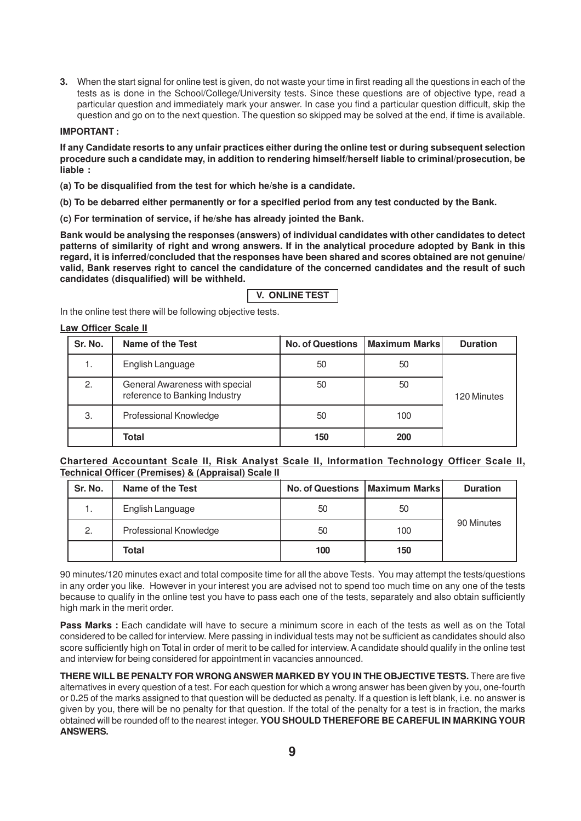**3.** When the start signal for online test is given, do not waste your time in first reading all the questions in each of the tests as is done in the School/College/University tests. Since these questions are of objective type, read a particular question and immediately mark your answer. In case you find a particular question difficult, skip the question and go on to the next question. The question so skipped may be solved at the end, if time is available.

#### **IMPORTANT :**

**If any Candidate resorts to any unfair practices either during the online test or during subsequent selection procedure such a candidate may, in addition to rendering himself/herself liable to criminal/prosecution, be liable :**

- **(a) To be disqualified from the test for which he/she is a candidate.**
- **(b) To be debarred either permanently or for a specified period from any test conducted by the Bank.**
- **(c) For termination of service, if he/she has already jointed the Bank.**

**Bank would be analysing the responses (answers) of individual candidates with other candidates to detect patterns of similarity of right and wrong answers. If in the analytical procedure adopted by Bank in this regard, it is inferred/concluded that the responses have been shared and scores obtained are not genuine/ valid, Bank reserves right to cancel the candidature of the concerned candidates and the result of such candidates (disqualified) will be withheld.**

| V.  ONLINE TEST |  |
|-----------------|--|
|                 |  |

In the online test there will be following objective tests.

#### **Law Officer Scale II**

| Sr. No. | Name of the Test                                                | <b>No. of Questions</b> | Maximum Marks | <b>Duration</b> |
|---------|-----------------------------------------------------------------|-------------------------|---------------|-----------------|
| 1.      | English Language                                                | 50                      | 50            |                 |
| 2.      | General Awareness with special<br>reference to Banking Industry | 50                      | 50            | 120 Minutes     |
| 3.      | Professional Knowledge                                          | 50                      | 100           |                 |
|         | Total                                                           | 150                     | 200           |                 |

#### **Chartered Accountant Scale II, Risk Analyst Scale II, Information Technology Officer Scale II, Technical Officer (Premises) & (Appraisal) Scale II**

| Sr. No. | <b>Name of the Test</b> |     | <b>No. of Questions   Maximum Marks </b> | <b>Duration</b> |
|---------|-------------------------|-----|------------------------------------------|-----------------|
|         | English Language        | 50  | 50                                       |                 |
| 2.      | Professional Knowledge  | 50  | 100                                      | 90 Minutes      |
|         | Total                   | 100 | 150                                      |                 |

90 minutes/120 minutes exact and total composite time for all the above Tests. You may attempt the tests/questions in any order you like. However in your interest you are advised not to spend too much time on any one of the tests because to qualify in the online test you have to pass each one of the tests, separately and also obtain sufficiently high mark in the merit order.

**Pass Marks** : Each candidate will have to secure a minimum score in each of the tests as well as on the Total considered to be called for interview. Mere passing in individual tests may not be sufficient as candidates should also score sufficiently high on Total in order of merit to be called for interview. A candidate should qualify in the online test and interview for being considered for appointment in vacancies announced.

**THERE WILL BE PENALTY FOR WRONG ANSWER MARKED BYYOU IN THE OBJECTIVE TESTS.** There are five alternatives in every question of a test. For each question for which a wrong answer has been given by you, one-fourth or 0**.**25 of the marks assigned to that question will be deducted as penalty. If a question is left blank, i.e. no answer is given by you, there will be no penalty for that question. If the total of the penalty for a test is in fraction, the marks obtained will be rounded off to the nearest integer. **YOU SHOULD THEREFORE BE CAREFUL IN MARKING YOUR ANSWERS.**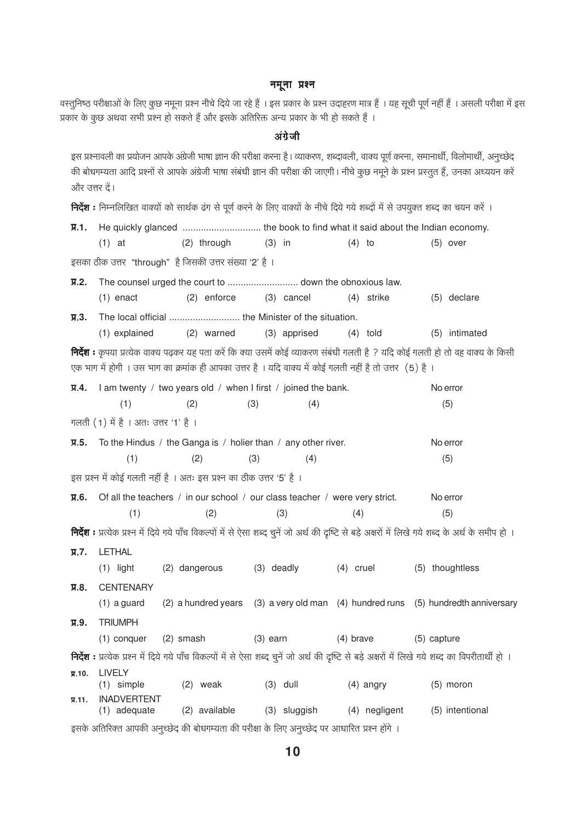## नमूना प्रश्न

वस्तुनिष्ठ परीक्षाओं के लिए कुछ नमूना प्रश्न नीचे दिये जा रहे हैं । इस प्रकार के प्रश्न उदाहरण मात्र हैं । यह सूची पूर्ण नहीं हैं । असली परीक्षा में इस प्रकार के कुछ अथवा सभी प्रश्न हो सकते हैं और इसके अतिरिक्त अन्य प्रकार के भी हो सकते हैं ।

# अंग्रेजी

इस प्रश्नावली का प्रयोजन आपके अंग्रेजी भाषा ज्ञान की परीक्षा करना है। व्याकरण, शब्दावली, वाक्य पूर्ण करना, समानार्थी, विलोमार्थी, अनुच्छेद की बोधगम्यता आदि प्रश्नों से आपके अंग्रेजी भाषा संबंधी ज्ञान की परीक्षा की जाएगी। नीचे कुछ नमूने के प्रश्न प्रस्तुत हैं, उनका अध्ययन करें और उत्तर दें।

निर्देश : निम्नलिखित वाक्यों को सार्थक ढंग से पूर्ण करने के लिए वाक्यों के नीचे दिये गये शब्दों में से उपयुक्त शब्द का चयन करें ।

| प्र.1.      |                                      |                                                                                                         |     |              |             |            |                                                                                                                                                            |  |
|-------------|--------------------------------------|---------------------------------------------------------------------------------------------------------|-----|--------------|-------------|------------|------------------------------------------------------------------------------------------------------------------------------------------------------------|--|
|             | $(1)$ at                             | $(2)$ through $(3)$ in                                                                                  |     |              | $(4)$ to    |            | $(5)$ over                                                                                                                                                 |  |
|             |                                      | इसका ठीक उत्तर "through" है जिसकी उत्तर संख्या '2' है ।                                                 |     |              |             |            |                                                                                                                                                            |  |
| $\Pi$ .2.   |                                      |                                                                                                         |     |              |             |            |                                                                                                                                                            |  |
|             | $(1)$ enact                          | $(2)$ enforce                                                                                           |     | (3) cancel   |             | (4) strike | (5) declare                                                                                                                                                |  |
| я.з.        |                                      |                                                                                                         |     |              |             |            |                                                                                                                                                            |  |
|             | (1) explained                        | (2) warned                                                                                              |     | (3) apprised |             | $(4)$ told | (5) intimated                                                                                                                                              |  |
|             |                                      | एक भाग में होगी । उस भाग का क्रमांक ही आपका उत्तर है । यदि वाक्य में कोई गलती नहीं है तो उत्तर (5) है । |     |              |             |            | निर्देश : कृपया प्रत्येक वाक्य पढ़कर यह पता करें कि क्या उसमें कोई व्याकरण संबंधी गलती है ? यदि कोई गलती हो तो वह वाक्य के किसी                            |  |
| Я.4.        |                                      | I am twenty / two years old / when I first / joined the bank.                                           |     |              |             |            | No error                                                                                                                                                   |  |
|             | (1)                                  | (2)                                                                                                     | (3) | (4)          |             |            | (5)                                                                                                                                                        |  |
|             | गलती (1) में है । अतः उत्तर '1' है । |                                                                                                         |     |              |             |            |                                                                                                                                                            |  |
| प्र.5.      |                                      | To the Hindus / the Ganga is / holier than / any other river.                                           |     |              |             |            | No error                                                                                                                                                   |  |
|             | (1)                                  | (2)                                                                                                     | (3) | (4)          |             |            | (5)                                                                                                                                                        |  |
|             |                                      | इस प्रश्न में कोई गलती नहीं है । अतः इस प्रश्न का ठीक उत्तर '5' है ।                                    |     |              |             |            |                                                                                                                                                            |  |
| Я.6.        |                                      | Of all the teachers / in our school / our class teacher / were very strict.                             |     |              |             |            | No error                                                                                                                                                   |  |
|             | (1)                                  | (2)                                                                                                     |     | (3)          | (4)         |            | (5)                                                                                                                                                        |  |
|             |                                      |                                                                                                         |     |              |             |            | <b>निर्देश :</b> प्रत्येक प्रश्न में दिये गये पाँच विकल्पों में से ऐसा शब्द चुनें जो अर्थ की दृष्टि से बड़े अक्षरों में लिखे गये शब्द के अर्थ के समीप हो । |  |
| $\Pi.7.$    | <b>LETHAL</b>                        |                                                                                                         |     |              |             |            |                                                                                                                                                            |  |
|             | $(1)$ light                          | (2) dangerous                                                                                           |     | (3) deadly   | $(4)$ cruel |            | (5) thoughtless                                                                                                                                            |  |
| Л.8.        | <b>CENTENARY</b>                     |                                                                                                         |     |              |             |            |                                                                                                                                                            |  |
|             | $(1)$ a guard                        |                                                                                                         |     |              |             |            | (2) a hundred years (3) a very old man (4) hundred runs (5) hundredth anniversary                                                                          |  |
| <b>у.9.</b> | <b>TRIUMPH</b>                       |                                                                                                         |     |              |             |            |                                                                                                                                                            |  |
|             | $(1)$ conquer $(2)$ smash            |                                                                                                         |     | $(3)$ earn   | $(4)$ brave |            | (5) capture                                                                                                                                                |  |
|             |                                      |                                                                                                         |     |              |             |            | <b>निर्देश :</b> प्रत्येक प्रश्न में दिये गये पाँच विकल्पों में से ऐसा शब्द चुनें जो अर्थ की दृष्टि से बड़े अक्षरों में लिखे गये शब्द का विपरीतार्थी हो ।  |  |
| $\Pi.10.$   | <b>LIVELY</b><br>$(1)$ simple        | $(2)$ weak                                                                                              |     | $(3)$ dull   |             | (4) angry  | $(5)$ moron                                                                                                                                                |  |
| $\Pi.11.$   | <b>INADVERTENT</b>                   | (1) adequate (2) available (3) sluggish (4) negligent                                                   |     |              |             |            | (5) intentional                                                                                                                                            |  |
|             |                                      | इसके अतिरिक्त आपकी अनुच्छेद की बोधगम्यता की परीक्षा के लिए अनुच्छेद पर आधारित प्रश्न होंगे ।            |     |              |             |            |                                                                                                                                                            |  |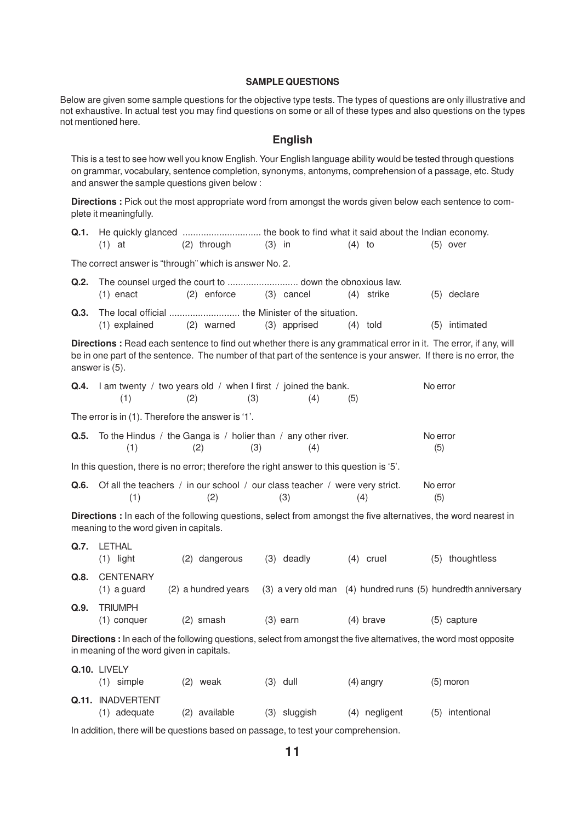#### **SAMPLE QUESTIONS**

Below are given some sample questions for the objective type tests. The types of questions are only illustrative and not exhaustive. In actual test you may find questions on some or all of these types and also questions on the types not mentioned here.

## **English**

This is a test to see how well you know English. Your English language ability would be tested through questions on grammar, vocabulary, sentence completion, synonyms, antonyms, comprehension of a passage, etc. Study and answer the sample questions given below :

**Directions :** Pick out the most appropriate word from amongst the words given below each sentence to complete it meaningfully.

| (1) at | (2) through | (3) in | (4) to | (5) over |
|--------|-------------|--------|--------|----------|

The correct answer is "through" which is answer No. 2.

| $(1)$ enact                                            | (2) enforce (3) cancel | (4) strike | (5) declare   |
|--------------------------------------------------------|------------------------|------------|---------------|
|                                                        |                        |            |               |
| $(1)$ explained $(2)$ warned $(3)$ apprised $(4)$ told |                        |            | (5) intimated |

**Directions :** Read each sentence to find out whether there is any grammatical error in it. The error, if any, will be in one part of the sentence. The number of that part of the sentence is your answer. If there is no error, the answer is (5).

|      | (1)                                    | <b>Q.4.</b> I am twenty / two years old / when I first / joined the bank.<br>(2)         | (3)<br>(4)   | (5)         | No error                                                                                                           |
|------|----------------------------------------|------------------------------------------------------------------------------------------|--------------|-------------|--------------------------------------------------------------------------------------------------------------------|
|      |                                        | The error is in (1). Therefore the answer is '1'.                                        |              |             |                                                                                                                    |
|      | (1)                                    | <b>Q.5.</b> To the Hindus / the Ganga is / holier than / any other river.<br>(2)         | (3)<br>(4)   |             | No error<br>(5)                                                                                                    |
|      |                                        | In this question, there is no error; therefore the right answer to this question is '5'. |              |             |                                                                                                                    |
| Q.6. | (1)                                    | Of all the teachers / in our school / our class teacher / were very strict.<br>(2)       | (3)          | (4)         | No error<br>(5)                                                                                                    |
|      | meaning to the word given in capitals. |                                                                                          |              |             | Directions : In each of the following questions, select from amongst the five alternatives, the word nearest in    |
| Q.7. | <b>LETHAL</b><br>$(1)$ light           | (2) dangerous                                                                            | $(3)$ deadly | $(4)$ cruel | thoughtless<br>(5)                                                                                                 |
| Q.8. | <b>CENTENARY</b><br>$(1)$ a guard      | (2) a hundred years                                                                      |              |             | (3) a very old man (4) hundred runs (5) hundredth anniversary                                                      |
| Q.9. | <b>TRIUMPH</b><br>$(1)$ conquer        | $(2)$ smash                                                                              | $(3)$ earn   | $(4)$ brave | (5) capture                                                                                                        |
|      |                                        | in meaning of the word given in capitals.                                                |              |             | Directions : In each of the following questions, select from amongst the five alternatives, the word most opposite |
|      | Q.10. LIVELY                           |                                                                                          |              |             |                                                                                                                    |

| $(1)$ simple                        | (2) weak      | $(3)$ dull   | $(4)$ angry   | $(5)$ moron     |
|-------------------------------------|---------------|--------------|---------------|-----------------|
| Q.11. INADVERTENT<br>$(1)$ adequate | (2) available | (3) sluggish | (4) negligent | (5) intentional |
|                                     |               |              |               |                 |

In addition, there will be questions based on passage, to test your comprehension.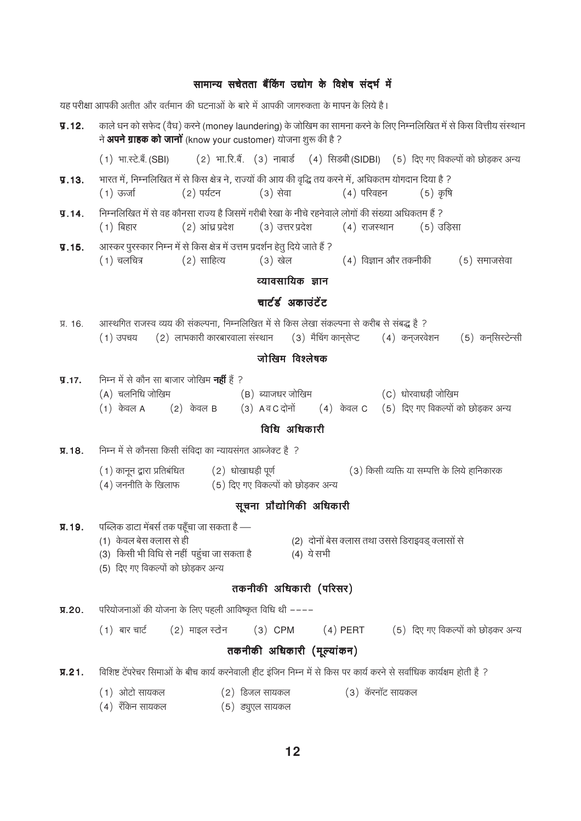## सामान्य सचेतता बैंकिंग उद्योग के विशेष संदर्भ में

यह परीक्षा आपकी अतीत और वर्तमान की घटनाओं के बारे में आपकी जागरुकता के मापन के लिये है। काले धन को सफेद (वैध) करने (money laundering) के जोखिम का सामना करने के लिए निम्नलिखित में से किस वित्तीय संस्थान  $\P.12.$ ने अपने ग्राहक को जानों (know your customer) योजना शुरू की है ? (2) भा.रि.बैं. (3) नाबार्ड (4) सिड़बी (SIDBI) (5) दिए गए विकल्पों को छोड़कर अन्य (1) भा.स्टे.बै. (SBI) भारत में, निम्नलिखित में से किस क्षेत्र ने, राज्यों की आय की वृद्धि तय करने में, अधिकतम योगदान दिया है ?  $\P.13.$  $(4)$  परिवहन  $(1)$  ऊर्जा (2) पर्यटन (3) सेवा  $(5)$  कृषि निम्नलिखित में से वह कौनसा राज्य है जिसमें गरीबी रेखा के नीचे रहनेवाले लोगों की संख्या अधिकतम हैं ?  $9.14.$ (2) आंध्र प्रदेश (3) उत्तर प्रदेश  $(5)$  उडिसा  $(1)$  बिहार  $(4)$  राजस्थान आस्कर पुरस्कार निम्न में से किस क्षेत्र में उत्तम प्रदर्शन हेतु दिये जाते हैं ?  $9.15.$  $(1)$  चलचित्र  $(2)$  साहित्य (3) खेल (4) विज्ञान और तकनीकी (5) समाजसेवा व्यावसायिक ज्ञान चार्टर्ड अकाउंटेंट आस्थगित राजस्व व्यय की संकल्पना, निम्नलिखित में से किस लेखा संकल्पना से करीब से संबद्ध है ? Я. 16.  $(2)$  लाभकारी कारबारवाला संस्थान  $(3)$  मैचिंग कानसेप्ट (4) कनजरवेशन (5) कनसिस्टेन्सी  $(1)$  उपचय जोरिवम विश्लेषक निम्न में से कौन सा बाजार जोखिम **नहीं** है ?  $\P.17.$  $(A)$  चलनिधि जोखिम  $(B)$  ब्याजधर जोखिम (C) धोरवाधड़ी जोखिम  $(1)$  केवल A  $(2)$  केवल B  $(3)$  A व C दोनों (4) केवल C (5) दिए गए विकल्पों को छोड़कर अन्य विधि अधिकारी निम्न में से कौनसा किसी संविदा का न्यायसंगत आब्जेक्ट है ? Л. 18. (1) कानून द्वारा प्रतिबंधित (2) धोखाधड़ी पूर्ण (3) किसी व्यक्ति या सम्पत्ति के लिये हानिकारक  $(4)$  जननीति के खिलाफ (5) दिए गए विकल्पों को छोड़कर अन्य सूचना प्रौद्योगिकी अधिकारी Я.19. पब्लिक डाटा मेंबर्स तक पहूँचा जा सकता है — (1) केवल बेस क्लास से ही (2) दोनों बेस क्लास तथा उससे डिराइवड क्लासों से (3) किसी भी विधि से नहीं पहुंचा जा सकता है (4) ये सभी (5) दिए गए विकल्पों को छोड़कर अन्य तकनीकी अधिकारी (परिसर)  $\P$ .20. परियोजनाओं की योजना के लिए पहली आविष्कृत विधि थी ––––  $(1)$  बार चार्ट (2) माइल स्टोन  $(3)$  CPM  $(4)$  PERT (5) दिए गए विकल्पों को छोड़कर अन्य तकनीकी अधिकारी (मूल्यांकन) विशिष्ट टेंपरेचर सिमाओं के बीच कार्य करनेवाली हीट इंजिन निम्न में से किस पर कार्य करने से सर्वाधिक कार्यक्षम होती है ?  $\Pi.21.$ (1) ओटो सायकल  $(2)$  डिजल सायकल (3) कॅरनॉट सायकल  $(4)$  रँकिन सायकल (5) ड्यूएल सायकल